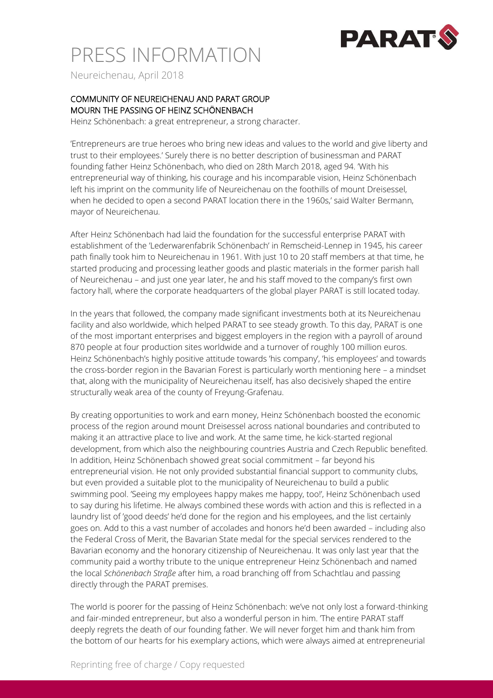

# PRESS INFORMATION

Neureichenau, April 2018

### COMMUNITY OF NEUREICHENAU AND PARAT GROUP MOURN THE PASSING OF HEINZ SCHÖNENBACH

Heinz Schönenbach: a great entrepreneur, a strong character.

'Entrepreneurs are true heroes who bring new ideas and values to the world and give liberty and trust to their employees.' Surely there is no better description of businessman and PARAT founding father Heinz Schönenbach, who died on 28th March 2018, aged 94. 'With his entrepreneurial way of thinking, his courage and his incomparable vision, Heinz Schönenbach left his imprint on the community life of Neureichenau on the foothills of mount Dreisessel, when he decided to open a second PARAT location there in the 1960s,' said Walter Bermann, mayor of Neureichenau.

After Heinz Schönenbach had laid the foundation for the successful enterprise PARAT with establishment of the 'Lederwarenfabrik Schönenbach' in Remscheid-Lennep in 1945, his career path finally took him to Neureichenau in 1961. With just 10 to 20 staff members at that time, he started producing and processing leather goods and plastic materials in the former parish hall of Neureichenau – and just one year later, he and his staff moved to the company's first own factory hall, where the corporate headquarters of the global player PARAT is still located today.

In the years that followed, the company made significant investments both at its Neureichenau facility and also worldwide, which helped PARAT to see steady growth. To this day, PARAT is one of the most important enterprises and biggest employers in the region with a payroll of around 870 people at four production sites worldwide and a turnover of roughly 100 million euros. Heinz Schönenbach's highly positive attitude towards 'his company', 'his employees' and towards the cross-border region in the Bavarian Forest is particularly worth mentioning here – a mindset that, along with the municipality of Neureichenau itself, has also decisively shaped the entire structurally weak area of the county of Freyung-Grafenau.

By creating opportunities to work and earn money, Heinz Schönenbach boosted the economic process of the region around mount Dreisessel across national boundaries and contributed to making it an attractive place to live and work. At the same time, he kick-started regional development, from which also the neighbouring countries Austria and Czech Republic benefited. In addition, Heinz Schönenbach showed great social commitment – far beyond his entrepreneurial vision. He not only provided substantial financial support to community clubs, but even provided a suitable plot to the municipality of Neureichenau to build a public swimming pool. 'Seeing my employees happy makes me happy, too!', Heinz Schönenbach used to say during his lifetime. He always combined these words with action and this is reflected in a laundry list of 'good deeds' he'd done for the region and his employees, and the list certainly goes on. Add to this a vast number of accolades and honors he'd been awarded – including also the Federal Cross of Merit, the Bavarian State medal for the special services rendered to the Bavarian economy and the honorary citizenship of Neureichenau. It was only last year that the community paid a worthy tribute to the unique entrepreneur Heinz Schönenbach and named the local *Schönenbach Straße* after him, a road branching off from Schachtlau and passing directly through the PARAT premises.

The world is poorer for the passing of Heinz Schönenbach: we've not only lost a forward-thinking and fair-minded entrepreneur, but also a wonderful person in him. 'The entire PARAT staff deeply regrets the death of our founding father. We will never forget him and thank him from the bottom of our hearts for his exemplary actions, which were always aimed at entrepreneurial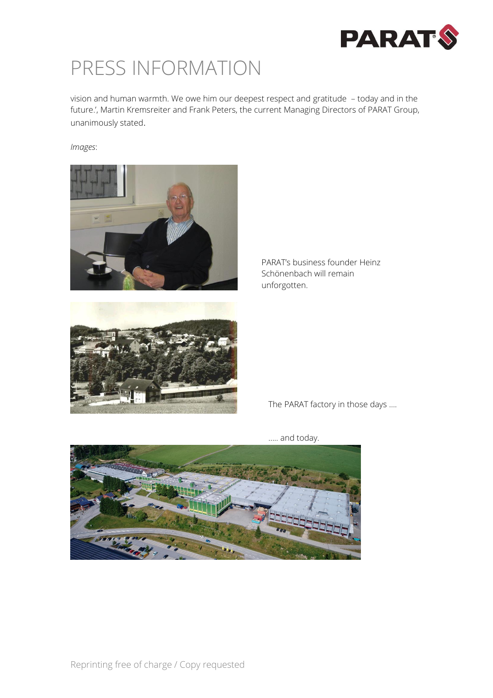

### PRESS INFORMATION

vision and human warmth. We owe him our deepest respect and gratitude – today and in the future.', Martin Kremsreiter and Frank Peters, the current Managing Directors of PARAT Group, unanimously stated.

*Images*:







The PARAT factory in those days ….



….. and today.